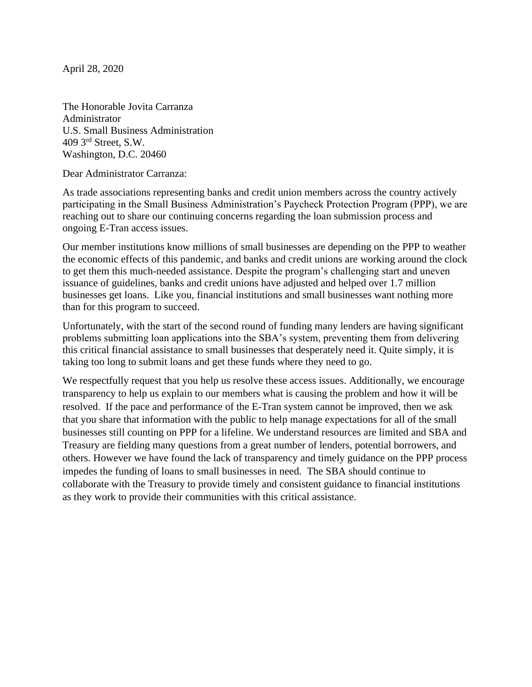April 28, 2020

The Honorable Jovita Carranza Administrator U.S. Small Business Administration 409 3rd Street, S.W. Washington, D.C. 20460

Dear Administrator Carranza:

As trade associations representing banks and credit union members across the country actively participating in the Small Business Administration's Paycheck Protection Program (PPP), we are reaching out to share our continuing concerns regarding the loan submission process and ongoing E-Tran access issues.

Our member institutions know millions of small businesses are depending on the PPP to weather the economic effects of this pandemic, and banks and credit unions are working around the clock to get them this much-needed assistance. Despite the program's challenging start and uneven issuance of guidelines, banks and credit unions have adjusted and helped over 1.7 million businesses get loans. Like you, financial institutions and small businesses want nothing more than for this program to succeed.

Unfortunately, with the start of the second round of funding many lenders are having significant problems submitting loan applications into the SBA's system, preventing them from delivering this critical financial assistance to small businesses that desperately need it. Quite simply, it is taking too long to submit loans and get these funds where they need to go.

We respectfully request that you help us resolve these access issues. Additionally, we encourage transparency to help us explain to our members what is causing the problem and how it will be resolved. If the pace and performance of the E-Tran system cannot be improved, then we ask that you share that information with the public to help manage expectations for all of the small businesses still counting on PPP for a lifeline. We understand resources are limited and SBA and Treasury are fielding many questions from a great number of lenders, potential borrowers, and others. However we have found the lack of transparency and timely guidance on the PPP process impedes the funding of loans to small businesses in need. The SBA should continue to collaborate with the Treasury to provide timely and consistent guidance to financial institutions as they work to provide their communities with this critical assistance.